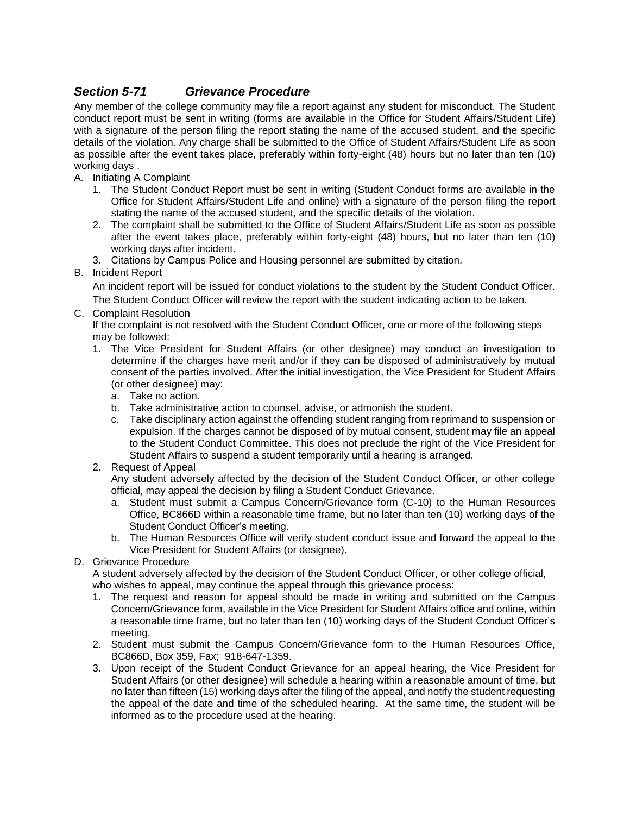## *Section 5-71 Grievance Procedure*

Any member of the college community may file a report against any student for misconduct. The Student conduct report must be sent in writing (forms are available in the Office for Student Affairs/Student Life) with a signature of the person filing the report stating the name of the accused student, and the specific details of the violation. Any charge shall be submitted to the Office of Student Affairs/Student Life as soon as possible after the event takes place, preferably within forty-eight (48) hours but no later than ten (10) working days .

- A. Initiating A Complaint
	- 1. The Student Conduct Report must be sent in writing (Student Conduct forms are available in the Office for Student Affairs/Student Life and online) with a signature of the person filing the report stating the name of the accused student, and the specific details of the violation.
	- 2. The complaint shall be submitted to the Office of Student Affairs/Student Life as soon as possible after the event takes place, preferably within forty-eight (48) hours, but no later than ten (10) working days after incident.
	- 3. Citations by Campus Police and Housing personnel are submitted by citation.

## B. Incident Report

An incident report will be issued for conduct violations to the student by the Student Conduct Officer. The Student Conduct Officer will review the report with the student indicating action to be taken.

C. Complaint Resolution

If the complaint is not resolved with the Student Conduct Officer, one or more of the following steps may be followed:

- 1. The Vice President for Student Affairs (or other designee) may conduct an investigation to determine if the charges have merit and/or if they can be disposed of administratively by mutual consent of the parties involved. After the initial investigation, the Vice President for Student Affairs (or other designee) may:
	- a. Take no action.
	- b. Take administrative action to counsel, advise, or admonish the student.
	- c. Take disciplinary action against the offending student ranging from reprimand to suspension or expulsion. If the charges cannot be disposed of by mutual consent, student may file an appeal to the Student Conduct Committee. This does not preclude the right of the Vice President for Student Affairs to suspend a student temporarily until a hearing is arranged.
- 2. Request of Appeal

Any student adversely affected by the decision of the Student Conduct Officer, or other college official, may appeal the decision by filing a Student Conduct Grievance.

- a. Student must submit a Campus Concern/Grievance form (C-10) to the Human Resources Office, BC866D within a reasonable time frame, but no later than ten (10) working days of the Student Conduct Officer's meeting.
- b. The Human Resources Office will verify student conduct issue and forward the appeal to the Vice President for Student Affairs (or designee).
- D. Grievance Procedure

A student adversely affected by the decision of the Student Conduct Officer, or other college official, who wishes to appeal, may continue the appeal through this grievance process:

- 1. The request and reason for appeal should be made in writing and submitted on the Campus Concern/Grievance form, available in the Vice President for Student Affairs office and online, within a reasonable time frame, but no later than ten (10) working days of the Student Conduct Officer's meeting.
- 2. Student must submit the Campus Concern/Grievance form to the Human Resources Office, BC866D, Box 359, Fax; 918-647-1359.
- 3. Upon receipt of the Student Conduct Grievance for an appeal hearing, the Vice President for Student Affairs (or other designee) will schedule a hearing within a reasonable amount of time, but no later than fifteen (15) working days after the filing of the appeal, and notify the student requesting the appeal of the date and time of the scheduled hearing. At the same time, the student will be informed as to the procedure used at the hearing.